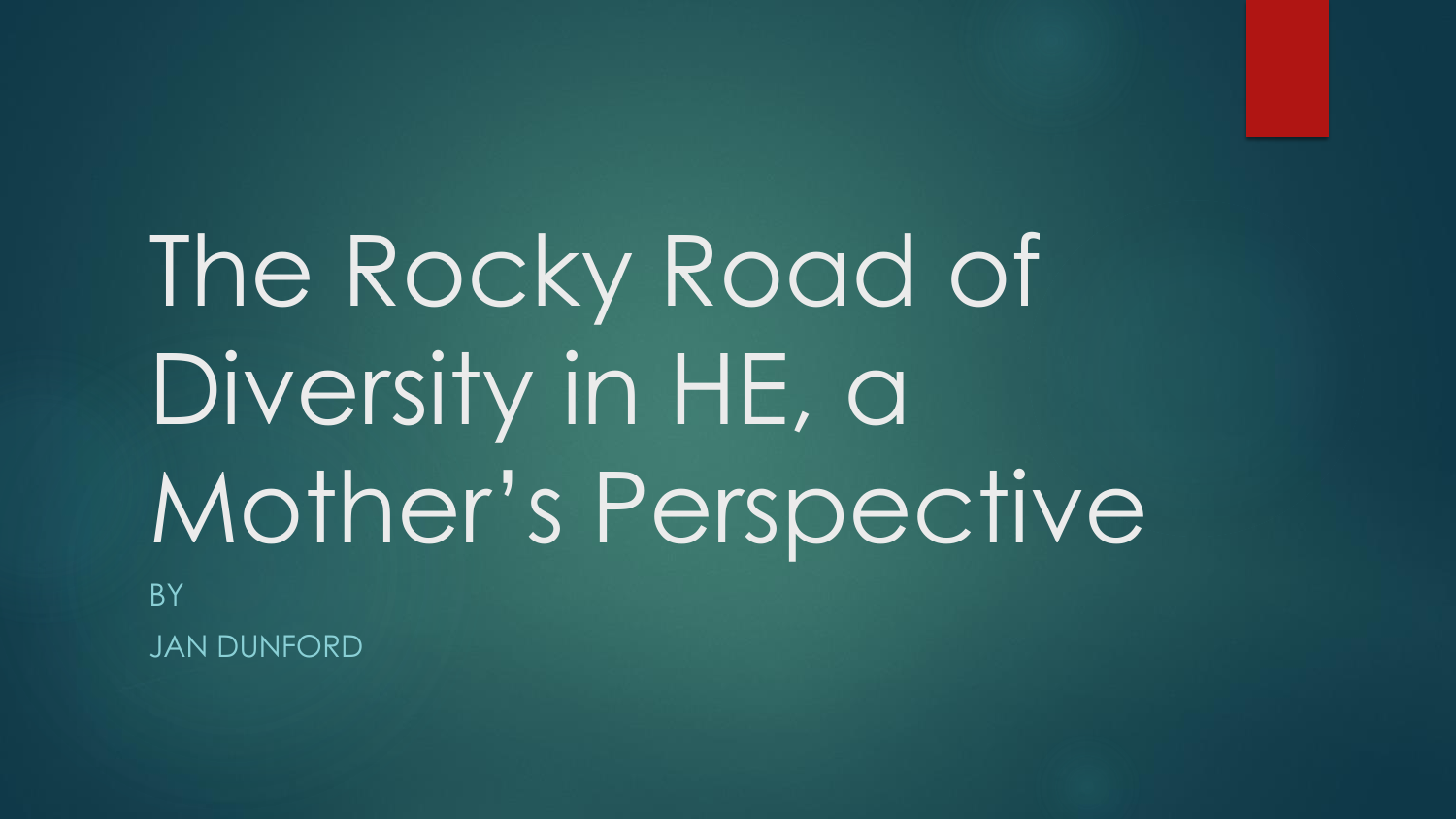# The Rocky Road of Diversity in HE, a Mother's Perspective BY

JAN DUNFORD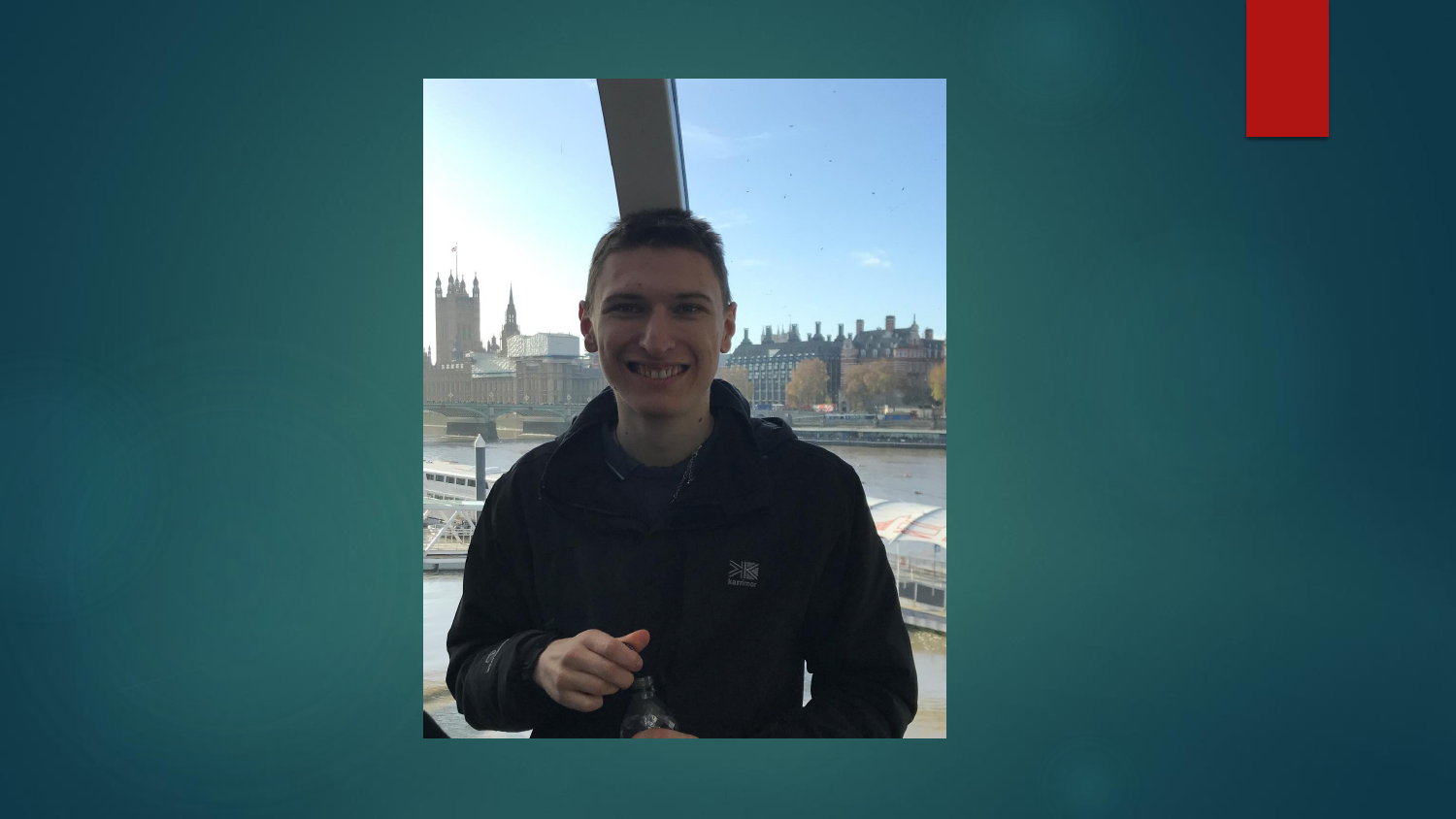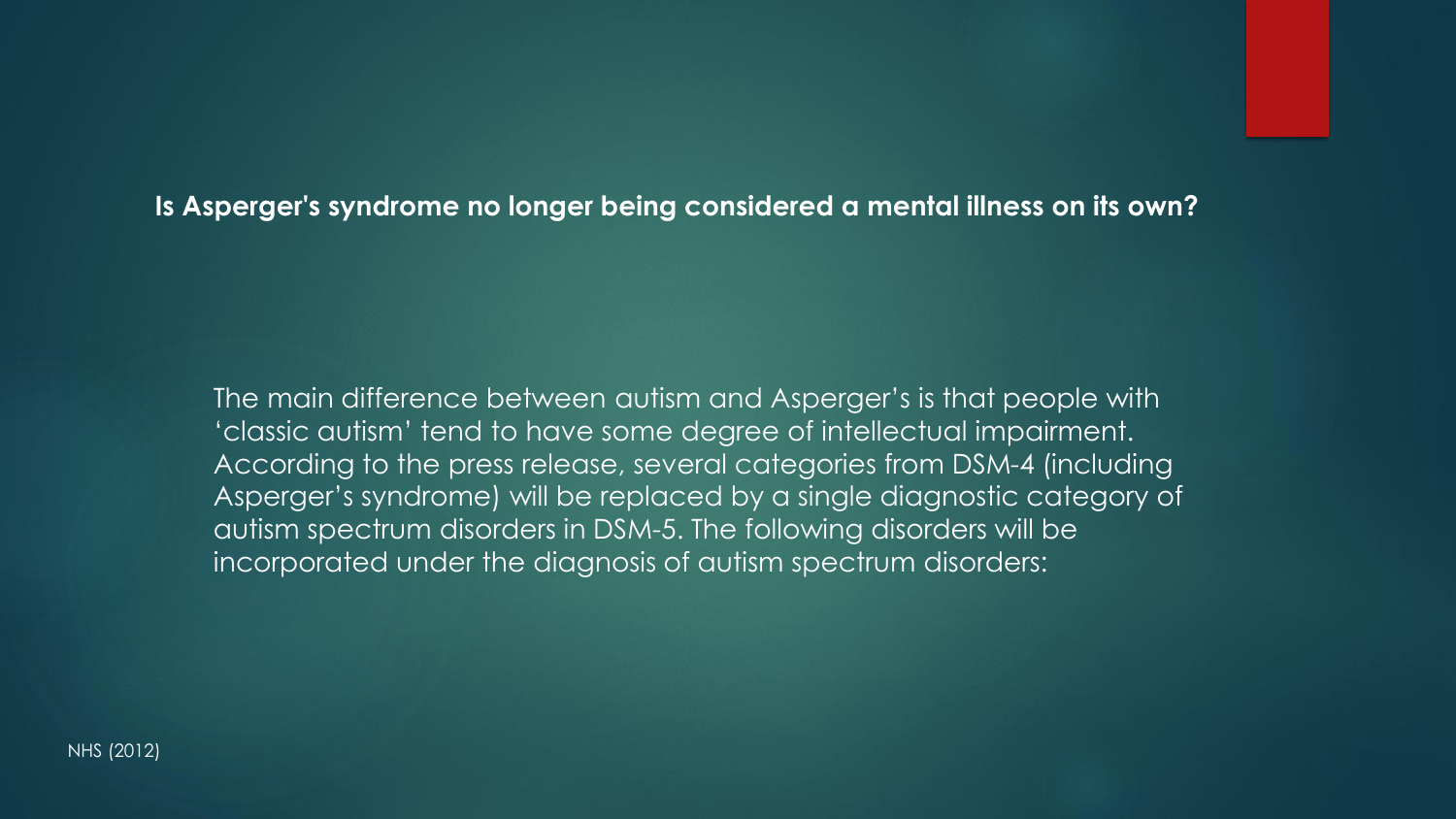#### **Is Asperger's syndrome no longer being considered a mental illness on its own?**

The main difference between autism and Asperger's is that people with 'classic autism' tend to have some degree of intellectual impairment. According to the press release, several categories from DSM-4 (including Asperger's syndrome) will be replaced by a single diagnostic category of autism spectrum disorders in DSM-5. The following disorders will be incorporated under the diagnosis of autism spectrum disorders: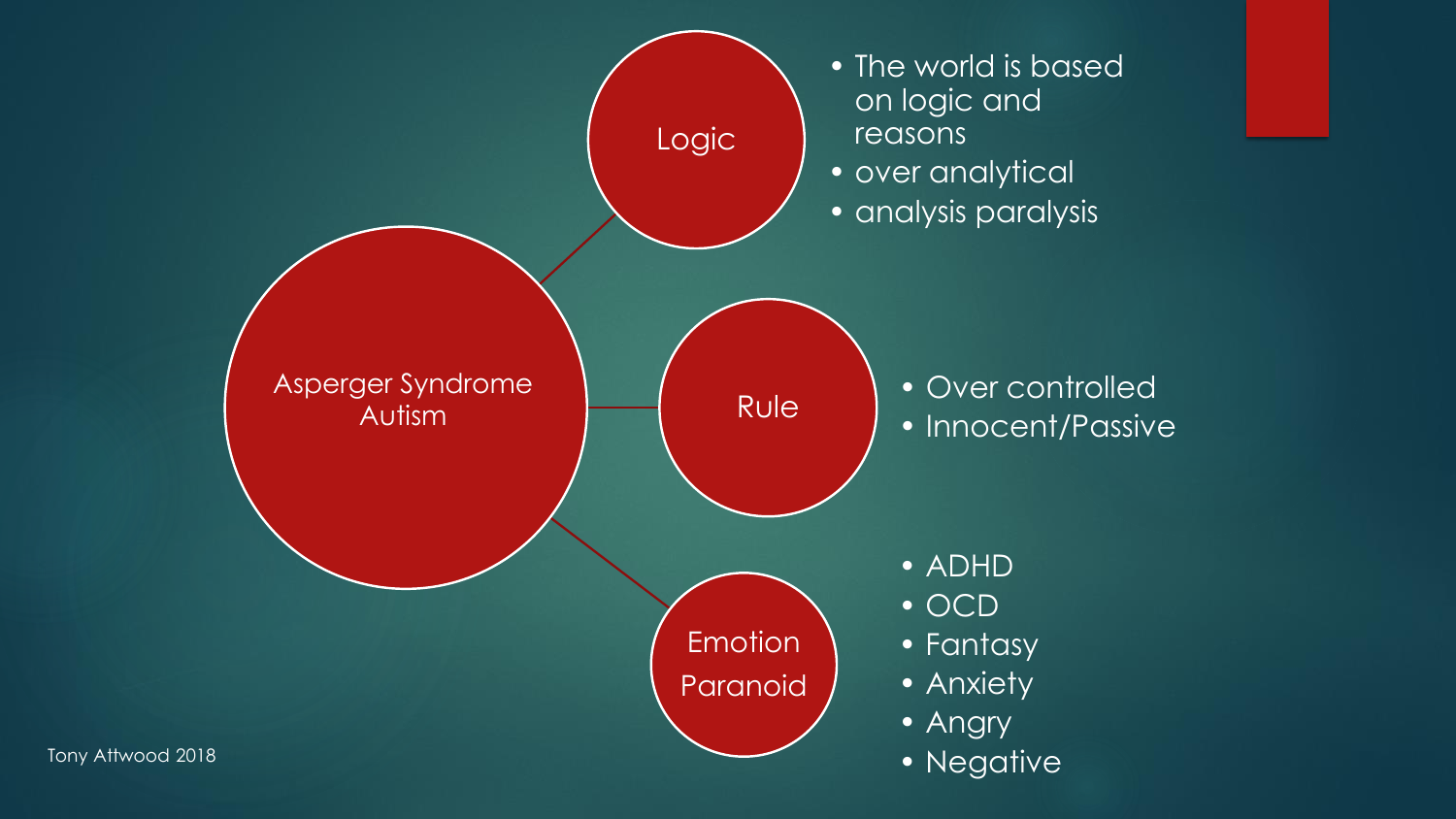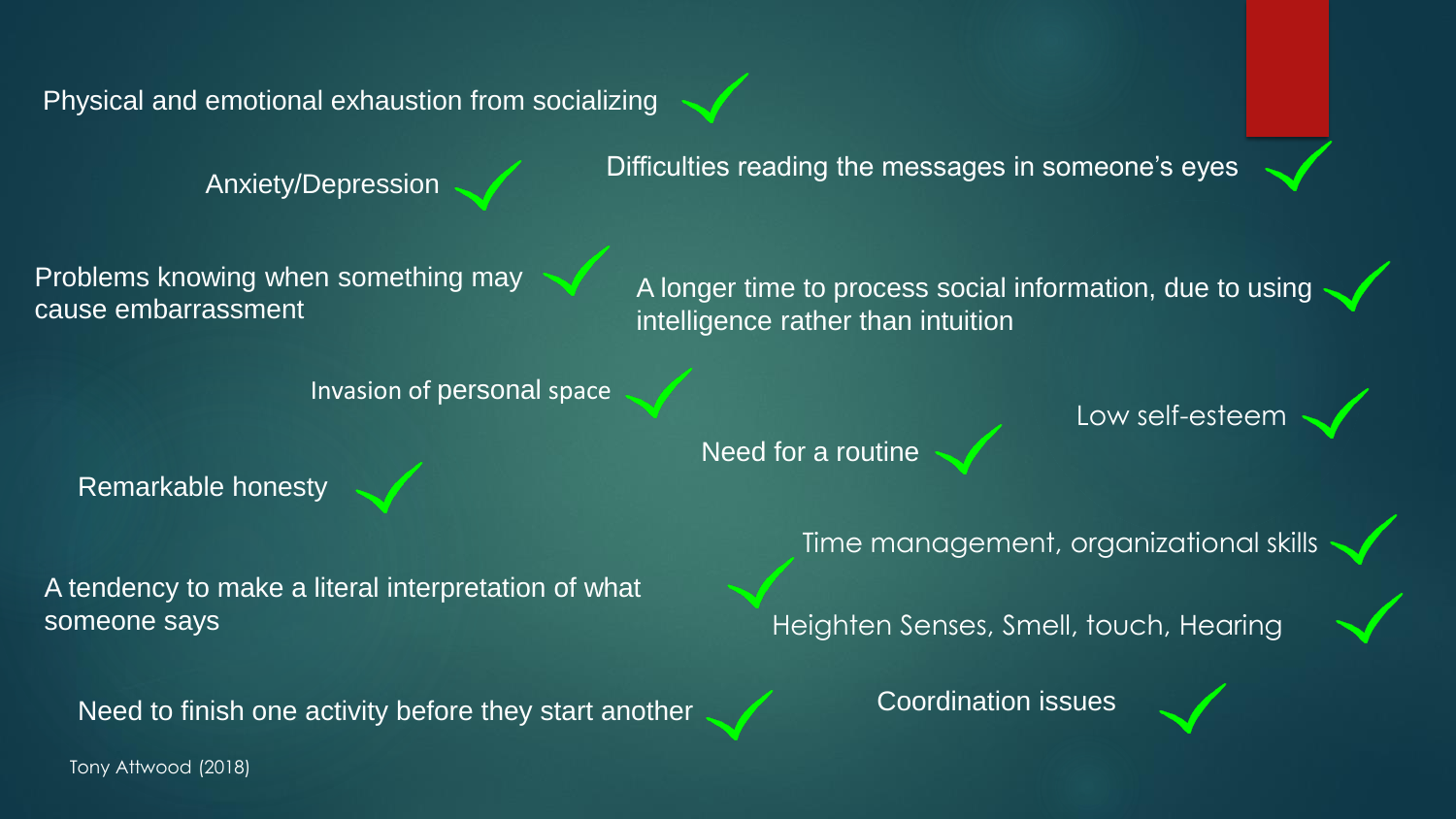Physical and emotional exhaustion from socializing

Anxiety/Depression

Difficulties reading the messages in someone's eyes

Problems knowing when something may cause embarrassment

A longer time to process social information, due to using intelligence rather than intuition

Invasion of personal space

Low self-esteem

Need for a routine

Remarkable honesty

A tendency to make a literal interpretation of what someone says

Need to finish one activity before they start another **Coordination** issues

Tony Attwood (2018)

Heighten Senses, Smell, touch, Hearing

Time management, organizational skills

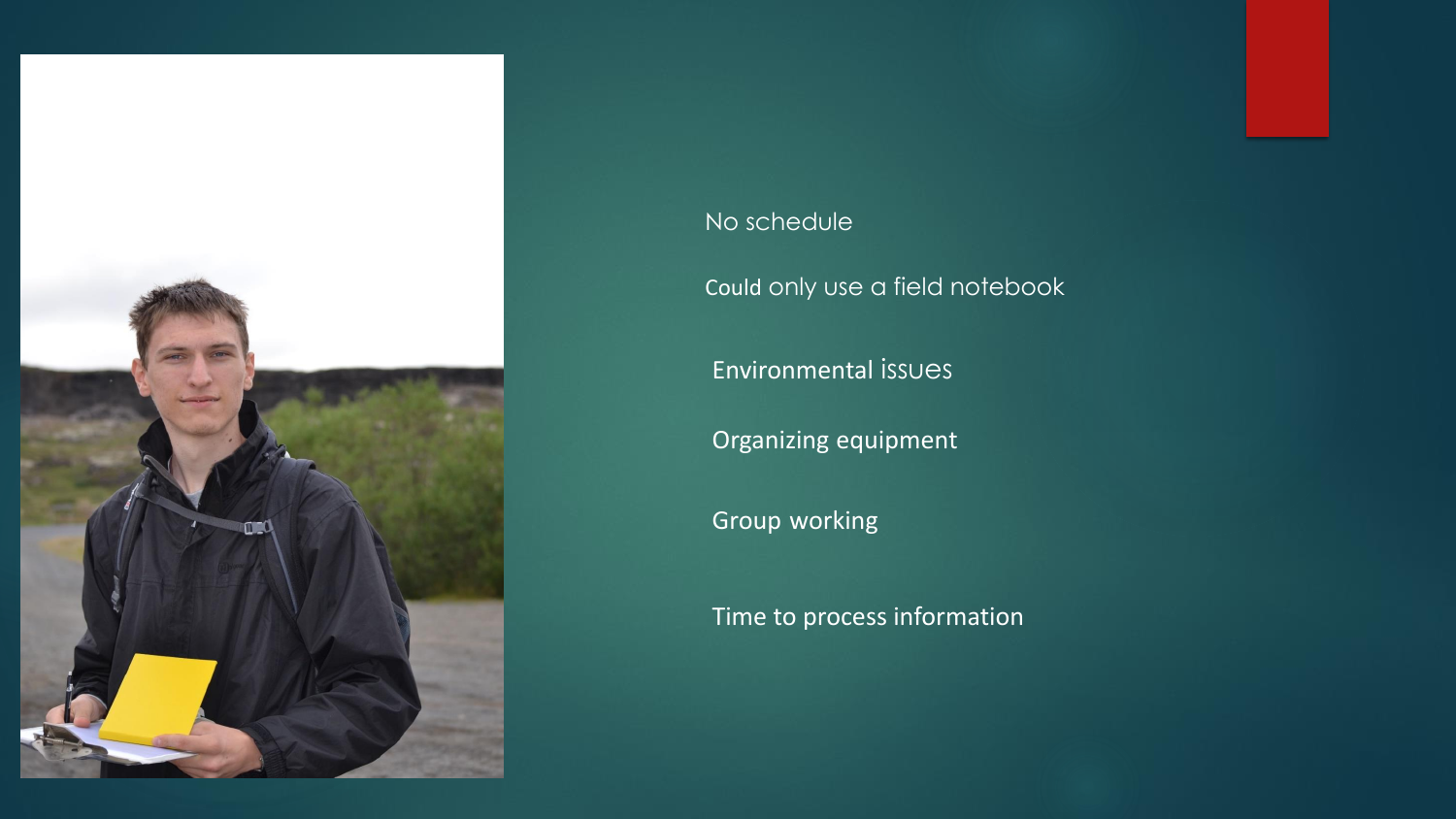

#### No schedule

Could only use a field notebook

Environmental issues

Organizing equipment

Group working

Time to process information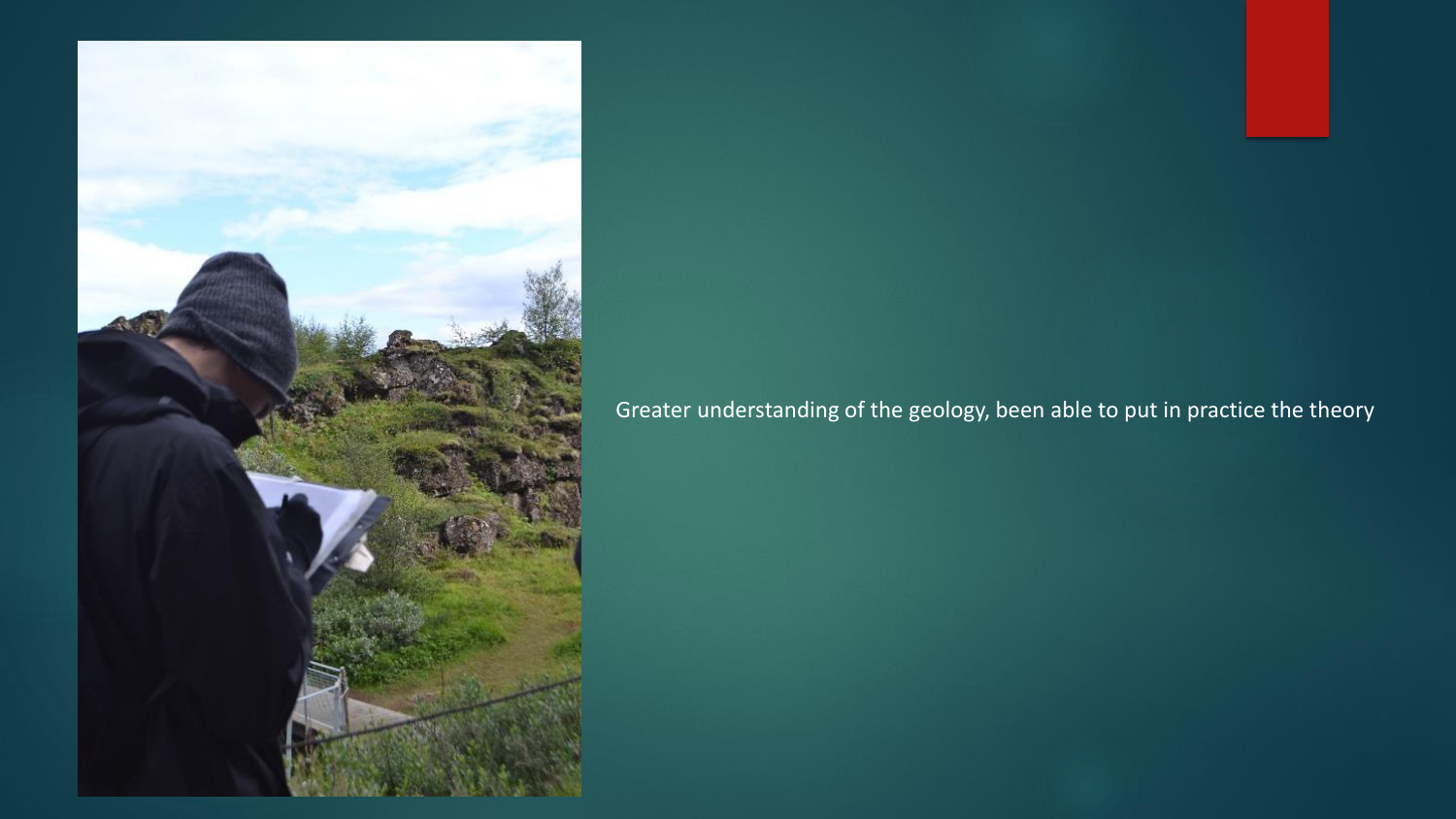

Greater understanding of the geology, been able to put in practice the theory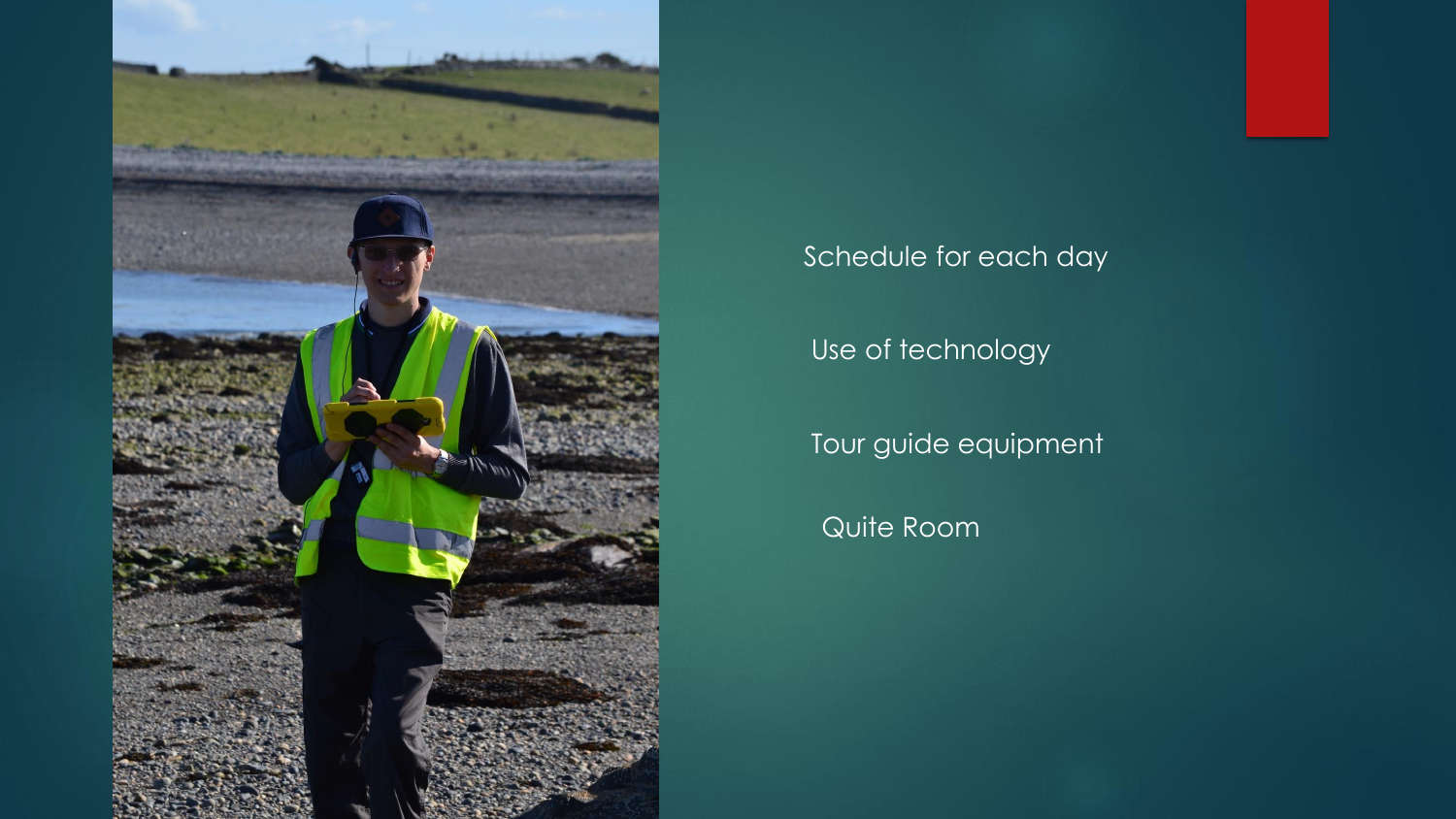

### Schedule for each day

## Use of technology

## Tour guide equipment

#### Quite Room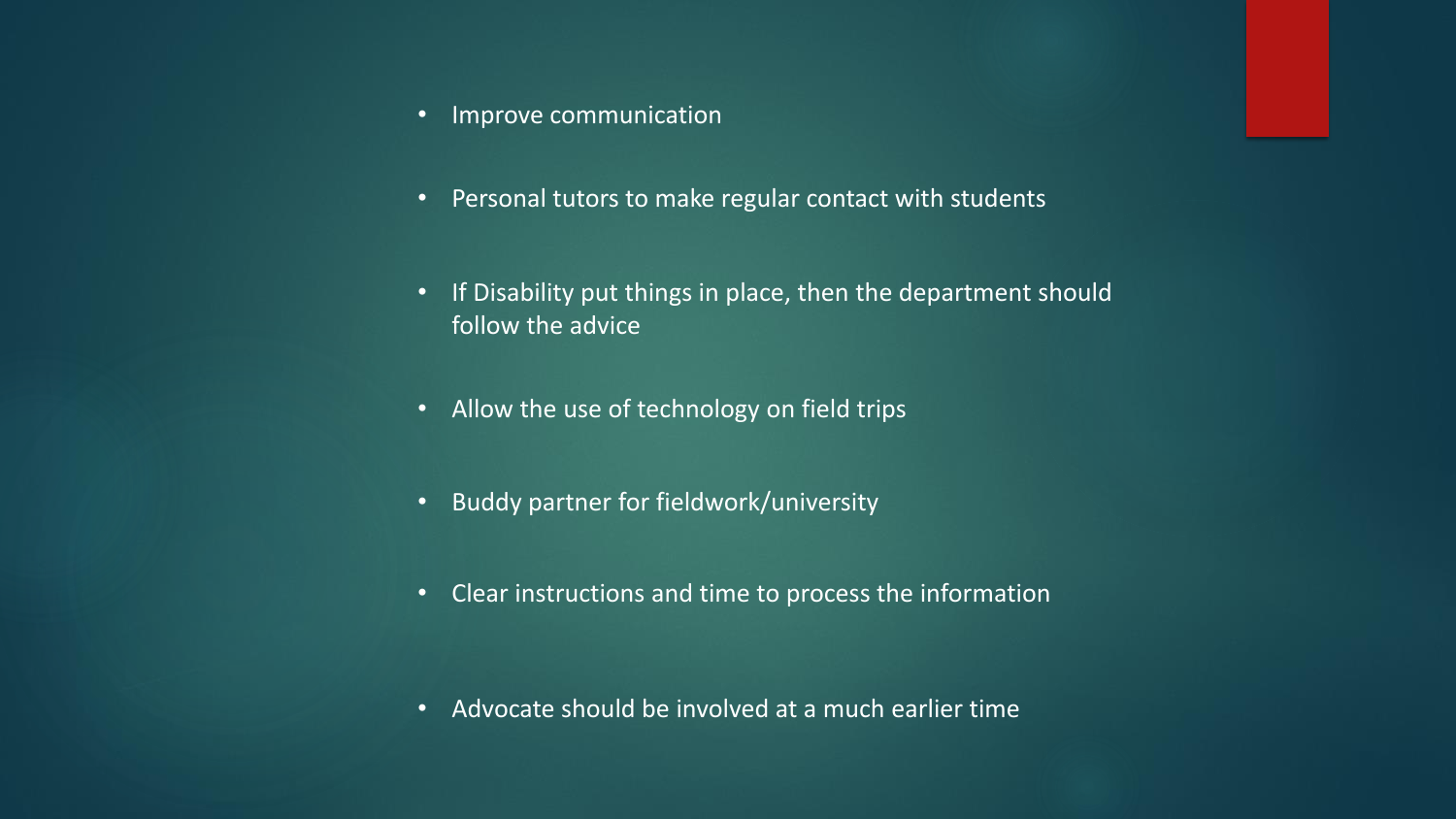- Improve communication
- Personal tutors to make regular contact with students
- If Disability put things in place, then the department should follow the advice
- Allow the use of technology on field trips
- Buddy partner for fieldwork/university
- Clear instructions and time to process the information

• Advocate should be involved at a much earlier time